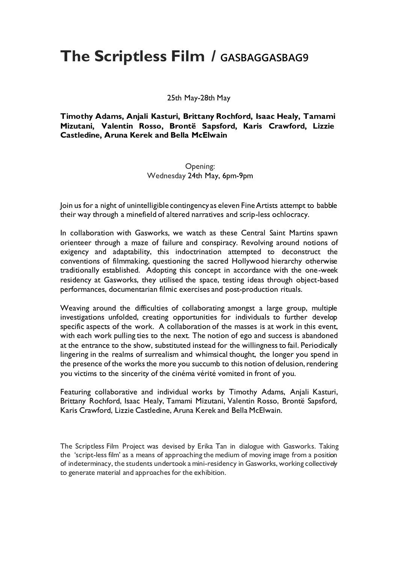## **The Scriptless Film / GASBAGGASBAG9**

25th May-28th May

**Timothy Adams, Anjali Kasturi, Brittany Rochford, Isaac Healy, Tamami Mizutani, Valentin Rosso, Brontë Sapsford, Karis Crawford, Lizzie Castledine, Aruna Kerek and Bella McElwain**

## Opening: Wednesday 24th May, 6pm-9pm

Join us for a night of unintelligible contingency as eleven Fine Artists attempt to babble their way through a minefield of altered narratives and scrip-less ochlocracy.

In collaboration with Gasworks, we watch as these Central Saint Martins spawn orienteer through a maze of failure and conspiracy. Revolving around notions of exigency and adaptability, this indoctrination attempted to deconstruct the conventions of filmmaking, questioning the sacred Hollywood hierarchy otherwise traditionally established. Adopting this concept in accordance with the one-week residency at Gasworks, they utilised the space, testing ideas through object-based performances, documentarian filmic exercises and post-production rituals.

Weaving around the difficulties of collaborating amongst a large group, multiple investigations unfolded, creating opportunities for individuals to further develop specific aspects of the work. A collaboration of the masses is at work in this event, with each work pulling ties to the next. The notion of ego and success is abandoned at the entrance to the show, substituted instead for the willingness to fail. Periodically lingering in the realms of surrealism and whimsical thought, the longer you spend in the presence of the works the more you succumb to this notion of delusion, rendering you victims to the sincerity of the cinéma vérité vomited in front of you.

Featuring collaborative and individual works by Timothy Adams, Anjali Kasturi, Brittany Rochford, Isaac Healy, Tamami Mizutani, Valentin Rosso, Brontë Sapsford, Karis Crawford, Lizzie Castledine, Aruna Kerek and Bella McElwain.

The Scriptless Film Project was devised by Erika Tan in dialogue with Gasworks. Taking the 'script-less film' as a means of approaching the medium of moving image from a position of indeterminacy, the students undertook a mini-residency in Gasworks, working collectively to generate material and approaches for the exhibition.